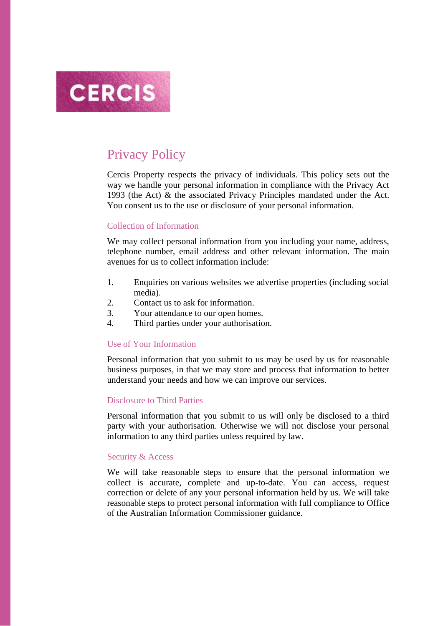

# Privacy Policy

Cercis Property respects the privacy of individuals. This policy sets out the way we handle your personal information in compliance with the Privacy Act 1993 (the Act) & the associated Privacy Principles mandated under the Act. You consent us to the use or disclosure of your personal information.

## Collection of Information

We may collect personal information from you including your name, address, telephone number, email address and other relevant information. The main avenues for us to collect information include:

- 1. Enquiries on various websites we advertise properties (including social media).
- 2. Contact us to ask for information.
- 3. Your attendance to our open homes.
- 4. Third parties under your authorisation.

#### Use of Your Information

Personal information that you submit to us may be used by us for reasonable business purposes, in that we may store and process that information to better understand your needs and how we can improve our services.

### Disclosure to Third Parties

Personal information that you submit to us will only be disclosed to a third party with your authorisation. Otherwise we will not disclose your personal information to any third parties unless required by law.

#### Security & Access

We will take reasonable steps to ensure that the personal information we collect is accurate, complete and up-to-date. You can access, request correction or delete of any your personal information held by us. We will take reasonable steps to protect personal information with full compliance to Office of the Australian Information Commissioner guidance.